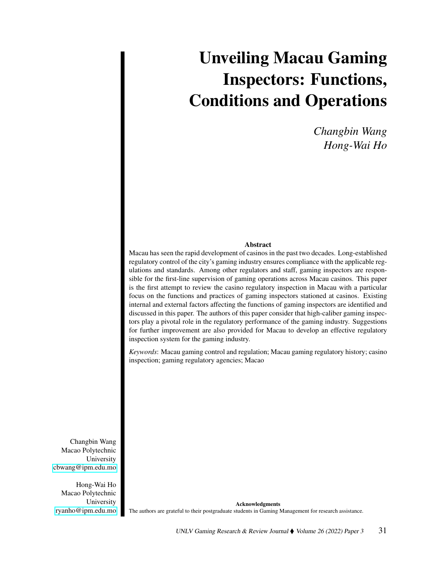# Unveiling Macau Gaming Inspectors: Functions, Conditions and Operations

*Changbin Wang Hong-Wai Ho*

# Abstract

Macau has seen the rapid development of casinos in the past two decades. Long-established regulatory control of the city's gaming industry ensures compliance with the applicable regulations and standards. Among other regulators and staff, gaming inspectors are responsible for the first-line supervision of gaming operations across Macau casinos. This paper is the first attempt to review the casino regulatory inspection in Macau with a particular focus on the functions and practices of gaming inspectors stationed at casinos. Existing internal and external factors affecting the functions of gaming inspectors are identified and discussed in this paper. The authors of this paper consider that high-caliber gaming inspectors play a pivotal role in the regulatory performance of the gaming industry. Suggestions for further improvement are also provided for Macau to develop an effective regulatory inspection system for the gaming industry.

*Keywords*: Macau gaming control and regulation; Macau gaming regulatory history; casino inspection; gaming regulatory agencies; Macao

Changbin Wang Macao Polytechnic University [cbwang@ipm.edu.mo](mailto:cbwang@ipm.edu.mo)

Hong-Wai Ho Macao Polytechnic University [ryanho@ipm.edu.mo](mailto:ryanho@ipm.edu.mo)

Acknowledgments The authors are grateful to their postgraduate students in Gaming Management for research assistance.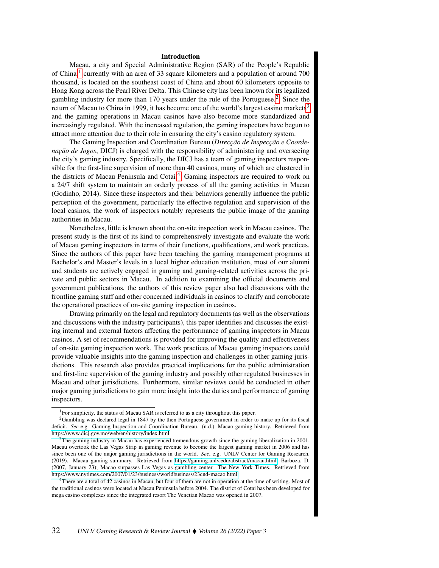#### Introduction

Macau, a city and Special Administrative Region (SAR) of the People's Republic of China,<sup>[1](#page-1-0)</sup> currently with an area of 33 square kilometers and a population of around 700 thousand, is located on the southeast coast of China and about 60 kilometers opposite to Hong Kong across the Pearl River Delta. This Chinese city has been known for its legalized gambling industry for more than 170 years under the rule of the Portuguese.<sup>[2](#page-1-1)</sup> Since the return of Macau to China in 1999, it has become one of the world's largest casino markets<sup>[3](#page-1-2)</sup> and the gaming operations in Macau casinos have also become more standardized and increasingly regulated. With the increased regulation, the gaming inspectors have begun to attract more attention due to their role in ensuring the city's casino regulatory system.

The Gaming Inspection and Coordination Bureau (*Direcção de Inspecção e Coordenação de Jogos*, DICJ) is charged with the responsibility of administering and overseeing the city's gaming industry. Specifically, the DICJ has a team of gaming inspectors responsible for the first-line supervision of more than 40 casinos, many of which are clustered in the districts of Macau Peninsula and Cotai.<sup>[4](#page-1-3)</sup> Gaming inspectors are required to work on a 24/7 shift system to maintain an orderly process of all the gaming activities in Macau (Godinho, 2014). Since these inspectors and their behaviors generally influence the public perception of the government, particularly the effective regulation and supervision of the local casinos, the work of inspectors notably represents the public image of the gaming authorities in Macau.

Nonetheless, little is known about the on-site inspection work in Macau casinos. The present study is the first of its kind to comprehensively investigate and evaluate the work of Macau gaming inspectors in terms of their functions, qualifications, and work practices. Since the authors of this paper have been teaching the gaming management programs at Bachelor's and Master's levels in a local higher education institution, most of our alumni and students are actively engaged in gaming and gaming-related activities across the private and public sectors in Macau. In addition to examining the official documents and government publications, the authors of this review paper also had discussions with the frontline gaming staff and other concerned individuals in casinos to clarify and corroborate the operational practices of on-site gaming inspection in casinos.

Drawing primarily on the legal and regulatory documents (as well as the observations and discussions with the industry participants), this paper identifies and discusses the existing internal and external factors affecting the performance of gaming inspectors in Macau casinos. A set of recommendations is provided for improving the quality and effectiveness of on-site gaming inspection work. The work practices of Macau gaming inspectors could provide valuable insights into the gaming inspection and challenges in other gaming jurisdictions. This research also provides practical implications for the public administration and first-line supervision of the gaming industry and possibly other regulated businesses in Macau and other jurisdictions. Furthermore, similar reviews could be conducted in other major gaming jurisdictions to gain more insight into the duties and performance of gaming inspectors.

<span id="page-1-1"></span><span id="page-1-0"></span><sup>&</sup>lt;sup>1</sup>For simplicity, the status of Macau SAR is referred to as a city throughout this paper.

<sup>2</sup>Gambling was declared legal in 1847 by the then Portuguese government in order to make up for its fiscal deficit. *See* e.g. Gaming Inspection and Coordination Bureau. (n.d.) Macao gaming history. Retrieved from <https://www.dicj.gov.mo/web/en/history/index.html>

<span id="page-1-2"></span> $3$ The gaming industry in Macau has experienced tremendous growth since the gaming liberalization in 2001. Macau overtook the Las Vegas Strip in gaming revenue to become the largest gaming market in 2006 and has since been one of the major gaming jurisdictions in the world. *See*, e.g. UNLV Center for Gaming Research. (2019). Macau gaming summary. Retrieved from [https://gaming.unlv.edu/abstract/macau.html;](https://gaming.unlv.edu/abstract/macau.html) Barboza, D. (2007, January 23); Macao surpasses Las Vegas as gambling center. The New York Times. Retrieved from <https://www.nytimes.com/2007/01/23/business/worldbusiness/23cnd-macao.html>

<span id="page-1-3"></span><sup>&</sup>lt;sup>4</sup>There are a total of 42 casinos in Macau, but four of them are not in operation at the time of writing. Most of the traditional casinos were located at Macau Peninsula before 2004. The district of Cotai has been developed for mega casino complexes since the integrated resort The Venetian Macao was opened in 2007.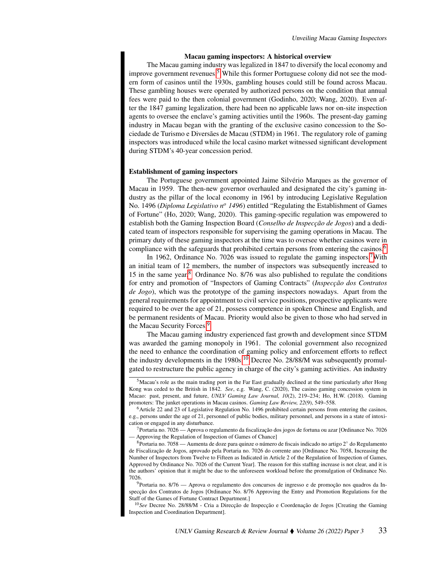## Macau gaming inspectors: A historical overview

The Macau gaming industry was legalized in 1847 to diversify the local economy and improve government revenues.<sup>[5](#page-2-0)</sup> While this former Portuguese colony did not see the modern form of casinos until the 1930s, gambling houses could still be found across Macau. These gambling houses were operated by authorized persons on the condition that annual fees were paid to the then colonial government (Godinho, 2020; Wang, 2020). Even after the 1847 gaming legalization, there had been no applicable laws nor on-site inspection agents to oversee the enclave's gaming activities until the 1960s. The present-day gaming industry in Macau began with the granting of the exclusive casino concession to the Sociedade de Turismo e Diversães de Macau (STDM) in 1961. The regulatory role of gaming inspectors was introduced while the local casino market witnessed significant development during STDM's 40-year concession period.

## Establishment of gaming inspectors

The Portuguese government appointed Jaime Silvério Marques as the governor of Macau in 1959. The then-new governor overhauled and designated the city's gaming industry as the pillar of the local economy in 1961 by introducing Legislative Regulation No. 1496 (*Diploma Legislativo n<sup>o</sup> 1496*) entitled "Regulating the Establishment of Games of Fortune" (Ho, 2020; Wang, 2020). This gaming-specific regulation was empowered to establish both the Gaming Inspection Board (*Conselho de Inspecção de Jogos*) and a dedicated team of inspectors responsible for supervising the gaming operations in Macau. The primary duty of these gaming inspectors at the time was to oversee whether casinos were in compliance with the safeguards that prohibited certain persons from entering the casinos.<sup>[6](#page-2-1)</sup>

In 1962, Ordinance No. [7](#page-2-2)026 was issued to regulate the gaming inspectors.<sup>7</sup>With an initial team of 12 members, the number of inspectors was subsequently increased to 15 in the same year.[8](#page-2-3) Ordinance No. 8/76 was also published to regulate the conditions for entry and promotion of "Inspectors of Gaming Contracts" (*Inspecção dos Contratos de Jogo*), which was the prototype of the gaming inspectors nowadays. Apart from the general requirements for appointment to civil service positions, prospective applicants were required to be over the age of 21, possess competence in spoken Chinese and English, and be permanent residents of Macau. Priority would also be given to those who had served in the Macau Security Forces.<sup>[9](#page-2-4)</sup>

The Macau gaming industry experienced fast growth and development since STDM was awarded the gaming monopoly in 1961. The colonial government also recognized the need to enhance the coordination of gaming policy and enforcement efforts to reflect the industry developments in the  $1980s<sup>10</sup>$  $1980s<sup>10</sup>$  $1980s<sup>10</sup>$  Decree No. 28/88/M was subsequently promulgated to restructure the public agency in charge of the city's gaming activities. An industry

<span id="page-2-4"></span><sup>9</sup>Portaria no. 8/76 — Aprova o regulamento dos concursos de ingresso e de promoção nos quadros da Inspecção dos Contratos de Jogos [Ordinance No. 8/76 Approving the Entry and Promotion Regulations for the Staff of the Games of Fortune Contract Department.]

<span id="page-2-5"></span><sup>10</sup>*See* Decree No. 28/88/M - Cria a Direcção de Inspecção e Coordenação de Jogos [Creating the Gaming Inspection and Coordination Department].

<span id="page-2-0"></span><sup>5</sup>Macau's role as the main trading port in the Far East gradually declined at the time particularly after Hong Kong was ceded to the British in 1842. *See*, e.g. Wang, C. (2020), The casino gaming concession system in Macao: past, present, and future, *UNLV Gaming Law Journal, 10*(2), 219–234; Ho, H.W. (2018). Gaming promoters: The junket operations in Macau casinos. *Gaming Law Review, 22*(9), 549–558.

<span id="page-2-1"></span><sup>6</sup>Article 22 and 23 of Legislative Regulation No. 1496 prohibited certain persons from entering the casinos, e.g., persons under the age of 21, personnel of public bodies, military personnel, and persons in a state of intoxication or engaged in any disturbance.

<span id="page-2-2"></span><sup>7</sup>Portaria no. 7026 — Aprova o regulamento da fiscalização dos jogos de fortuna ou azar [Ordinance No. 7026 — Approving the Regulation of Inspection of Games of Chance]

<span id="page-2-3"></span><sup>8</sup>Portaria no. 7058 — Aumenta de doze para quinze o número de fiscais indicado no artigo 2◦ do Regulamento de Fiscalização de Jogos, aprovado pela Portaria no. 7026 do corrente ano [Ordinance No. 7058, Increasing the Number of Inspectors from Twelve to Fifteen as Indicated in Article 2 of the Regulation of Inspection of Games, Approved by Ordinance No. 7026 of the Current Year]. The reason for this staffing increase is not clear, and it is the authors' opinion that it might be due to the unforeseen workload before the promulgation of Ordinance No. 7026.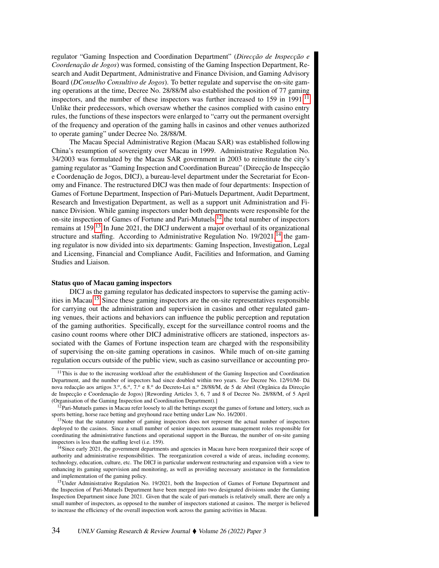regulator "Gaming Inspection and Coordination Department" (*Direcção de Inspecção e Coordenação de Jogos*) was formed, consisting of the Gaming Inspection Department, Research and Audit Department, Administrative and Finance Division, and Gaming Advisory Board (*DConselho Consultivo de Jogos*). To better regulate and supervise the on-site gaming operations at the time, Decree No. 28/88/M also established the position of 77 gaming inspectors, and the number of these inspectors was further increased to 159 in 1991.<sup>[11](#page-3-0)</sup> Unlike their predecessors, which oversaw whether the casinos complied with casino entry rules, the functions of these inspectors were enlarged to "carry out the permanent oversight of the frequency and operation of the gaming halls in casinos and other venues authorized to operate gaming" under Decree No. 28/88/M.

The Macau Special Administrative Region (Macau SAR) was established following China's resumption of sovereignty over Macau in 1999. Administrative Regulation No. 34/2003 was formulated by the Macau SAR government in 2003 to reinstitute the city's gaming regulator as "Gaming Inspection and Coordination Bureau" (Direcção de Inspecção e Coordenação de Jogos, DICJ), a bureau-level department under the Secretariat for Economy and Finance. The restructured DICJ was then made of four departments: Inspection of Games of Fortune Department, Inspection of Pari-Mutuels Department, Audit Department, Research and Investigation Department, as well as a support unit Administration and Finance Division. While gaming inspectors under both departments were responsible for the on-site inspection of Games of Fortune and Pari-Mutuels, $12$  the total number of inspectors remains at 159.<sup>[13](#page-3-2)</sup> In June 2021, the DICJ underwent a major overhaul of its organizational structure and staffing. According to Administrative Regulation No.  $19/2021$ ,<sup>[14](#page-3-3)</sup> the gaming regulator is now divided into six departments: Gaming Inspection, Investigation, Legal and Licensing, Financial and Compliance Audit, Facilities and Information, and Gaming Studies and Liaison.

# Status quo of Macau gaming inspectors

DICJ as the gaming regulator has dedicated inspectors to supervise the gaming activities in Macau.[15](#page-3-4) Since these gaming inspectors are the on-site representatives responsible for carrying out the administration and supervision in casinos and other regulated gaming venues, their actions and behaviors can influence the public perception and reputation of the gaming authorities. Specifically, except for the surveillance control rooms and the casino count rooms where other DICJ administrative officers are stationed, inspectors associated with the Games of Fortune inspection team are charged with the responsibility of supervising the on-site gaming operations in casinos. While much of on-site gaming regulation occurs outside of the public view, such as casino surveillance or accounting pro-

<span id="page-3-0"></span><sup>&</sup>lt;sup>11</sup>This is due to the increasing workload after the establishment of the Gaming Inspection and Coordination Department, and the number of inspectors had since doubled within two years. *See* Decree No. 12/91/M- Dá nova redacção aos artigos 3.º, 6.º, 7.º e 8.º do Decreto-Lei n.º 28/88/M, de 5 de Abril (Orgânica da Direcção de Inspecção e Coordenação de Jogos) [Rewording Articles 3, 6, 7 and 8 of Decree No. 28/88/M, of 5 April (Organisation of the Gaming Inspection and Coordination Department).]

<span id="page-3-1"></span> $12$ Pari-Mutuels games in Macau refer loosely to all the bettings except the games of fortune and lottery, such as sports betting, horse race betting and greyhound race betting under Law No. 16/2001.

<span id="page-3-2"></span><sup>&</sup>lt;sup>13</sup>Note that the statutory number of gaming inspectors does not represent the actual number of inspectors deployed to the casinos. Since a small number of senior inspectors assume management roles responsible for coordinating the administrative functions and operational support in the Bureau, the number of on-site gaming inspectors is less than the staffing level (i.e. 159).

<span id="page-3-3"></span> $14$ Since early 2021, the government departments and agencies in Macau have been reorganized their scope of authority and administrative responsibilities. The reorganization covered a wide of areas, including economy, technology, education, culture, etc. The DICJ in particular underwent restructuring and expansion with a view to enhancing its gaming supervision and monitoring, as well as providing necessary assistance in the formulation and implementation of the gaming policy.

<span id="page-3-4"></span><sup>&</sup>lt;sup>15</sup>Under Administrative Regulation No. 19/2021, both the Inspection of Games of Fortune Department and the Inspection of Pari-Mutuels Department have been merged into two designated divisions under the Gaming Inspection Department since June 2021. Given that the scale of pari-mutuels is relatively small, there are only a small number of inspectors, as opposed to the number of inspectors stationed at casinos. The merger is believed to increase the efficiency of the overall inspection work across the gaming activities in Macau.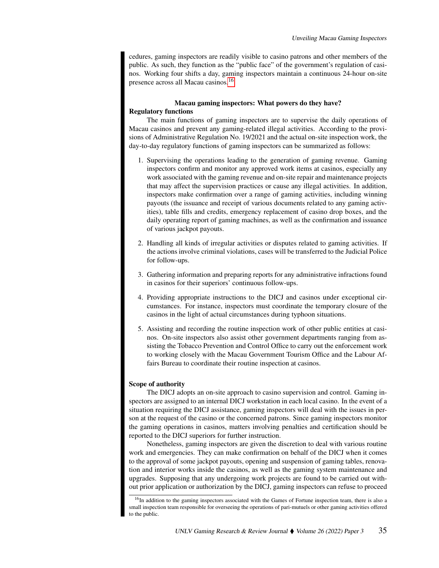cedures, gaming inspectors are readily visible to casino patrons and other members of the public. As such, they function as the "public face" of the government's regulation of casinos. Working four shifts a day, gaming inspectors maintain a continuous 24-hour on-site presence across all Macau casinos.[16](#page-4-0)

# Macau gaming inspectors: What powers do they have? Regulatory functions

The main functions of gaming inspectors are to supervise the daily operations of Macau casinos and prevent any gaming-related illegal activities. According to the provisions of Administrative Regulation No. 19/2021 and the actual on-site inspection work, the day-to-day regulatory functions of gaming inspectors can be summarized as follows:

- 1. Supervising the operations leading to the generation of gaming revenue. Gaming inspectors confirm and monitor any approved work items at casinos, especially any work associated with the gaming revenue and on-site repair and maintenance projects that may affect the supervision practices or cause any illegal activities. In addition, inspectors make confirmation over a range of gaming activities, including winning payouts (the issuance and receipt of various documents related to any gaming activities), table fills and credits, emergency replacement of casino drop boxes, and the daily operating report of gaming machines, as well as the confirmation and issuance of various jackpot payouts.
- 2. Handling all kinds of irregular activities or disputes related to gaming activities. If the actions involve criminal violations, cases will be transferred to the Judicial Police for follow-ups.
- 3. Gathering information and preparing reports for any administrative infractions found in casinos for their superiors' continuous follow-ups.
- 4. Providing appropriate instructions to the DICJ and casinos under exceptional circumstances. For instance, inspectors must coordinate the temporary closure of the casinos in the light of actual circumstances during typhoon situations.
- 5. Assisting and recording the routine inspection work of other public entities at casinos. On-site inspectors also assist other government departments ranging from assisting the Tobacco Prevention and Control Office to carry out the enforcement work to working closely with the Macau Government Tourism Office and the Labour Affairs Bureau to coordinate their routine inspection at casinos.

# Scope of authority

The DICJ adopts an on-site approach to casino supervision and control. Gaming inspectors are assigned to an internal DICJ workstation in each local casino. In the event of a situation requiring the DICJ assistance, gaming inspectors will deal with the issues in person at the request of the casino or the concerned patrons. Since gaming inspectors monitor the gaming operations in casinos, matters involving penalties and certification should be reported to the DICJ superiors for further instruction.

Nonetheless, gaming inspectors are given the discretion to deal with various routine work and emergencies. They can make confirmation on behalf of the DICJ when it comes to the approval of some jackpot payouts, opening and suspension of gaming tables, renovation and interior works inside the casinos, as well as the gaming system maintenance and upgrades. Supposing that any undergoing work projects are found to be carried out without prior application or authorization by the DICJ, gaming inspectors can refuse to proceed

<span id="page-4-0"></span><sup>&</sup>lt;sup>16</sup>In addition to the gaming inspectors associated with the Games of Fortune inspection team, there is also a small inspection team responsible for overseeing the operations of pari-mutuels or other gaming activities offered to the public.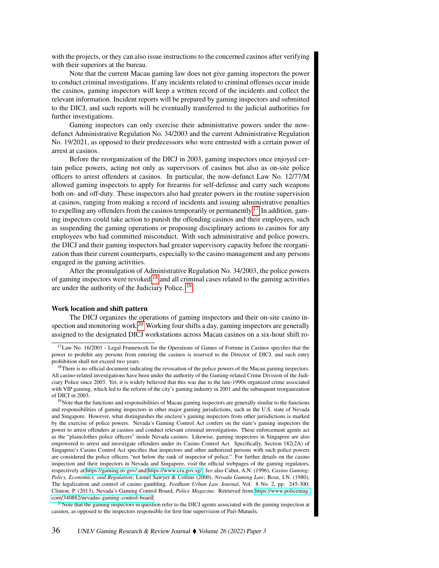with the projects, or they can also issue instructions to the concerned casinos after verifying with their superiors at the bureau.

Note that the current Macau gaming law does not give gaming inspectors the power to conduct criminal investigations. If any incidents related to criminal offenses occur inside the casinos, gaming inspectors will keep a written record of the incidents and collect the relevant information. Incident reports will be prepared by gaming inspectors and submitted to the DICJ, and such reports will be eventually transferred to the judicial authorities for further investigations.

Gaming inspectors can only exercise their administrative powers under the nowdefunct Administrative Regulation No. 34/2003 and the current Administrative Regulation No. 19/2021, as opposed to their predecessors who were entrusted with a certain power of arrest at casinos.

Before the reorganization of the DICJ in 2003, gaming inspectors once enjoyed certain police powers, acting not only as supervisors of casinos but also as on-site police officers to arrest offenders at casinos. In particular, the now-defunct Law No. 12/77/M allowed gaming inspectors to apply for firearms for self-defense and carry such weapons both on- and off-duty. These inspectors also had greater powers in the routine supervision at casinos, ranging from making a record of incidents and issuing administrative penalties to expelling any offenders from the casinos temporarily or permanently.<sup>[17](#page-5-0)</sup> In addition, gaming inspectors could take action to punish the offending casinos and their employees, such as suspending the gaming operations or proposing disciplinary actions to casinos for any employees who had committed misconduct. With such administrative and police powers, the DICJ and their gaming inspectors had greater supervisory capacity before the reorganization than their current counterparts, especially to the casino management and any persons engaged in the gaming activities.

After the promulgation of Administrative Regulation No. 34/2003, the police powers of gaming inspectors were revoked, $18$  and all criminal cases related to the gaming activities are under the authority of the Judiciary Police. [19](#page-5-2)

## Work location and shift pattern

The DICJ organizes the operations of gaming inspectors and their on-site casino in-spection and monitoring work.<sup>[20](#page-5-3)</sup> Working four shifts a day, gaming inspectors are generally assigned to the designated DICJ workstations across Macau casinos on a six-hour shift ro-

<span id="page-5-0"></span><sup>&</sup>lt;sup>17</sup>Law No. 16/2001 - Legal Framework for the Operations of Games of Fortune in Casinos specifies that the power to prohibit any persons from entering the casinos is reserved to the Director of DICJ, and such entry prohibition shall not exceed two years.

<span id="page-5-1"></span><sup>&</sup>lt;sup>18</sup>There is no official document indicating the revocation of the police powers of the Macau gaming inspectors. All casino-related investigations have been under the authority of the Gaming-related Crime Division of the Judiciary Police since 2003. Yet, it is widely believed that this was due to the late-1990s organized crime associated with VIP gaming, which led to the reform of the city's gaming industry in 2001 and the subsequent reorganization of DICJ in 2003.

<span id="page-5-2"></span><sup>&</sup>lt;sup>19</sup>Note that the functions and responsibilities of Macau gaming inspectors are generally similar to the functions and responsibilities of gaming inspectors in other major gaming jurisdictions, such as the U.S. state of Nevada and Singapore. However, what distinguishes the enclave's gaming inspectors from other jurisdictions is marked by the exercise of police powers. Nevada's Gaming Control Act confers on the state's gaming inspectors the power to arrest offenders at casinos and conduct relevant criminal investigations. These enforcement agents act as the "plainclothes police officers" inside Nevada casinos. Likewise, gaming inspectors in Singapore are also empowered to arrest and investigate offenders under its Casino Control Act. Specifically, Section 182(2A) of Singapore's Casino Control Act specifies that inspectors and other authorized persons with such police powers are considered the police officers "not below the rank of inspector of police." For further details on the casino inspection and their inspectors in Nevada and Singapore, visit the official webpages of the gaming regulators, respectively at<https://gaming.nv.gov/> and [https://www.cra.gov.sg/.](https://www.cra.gov.sg/) *See* also Cabot, A.N. (1996), *Casino Gaming: Policy, Economics, and Regulation*; Lionel Sawyer & Collins (2000), *Nevada Gaming Law*; Rose, I.N. (1980), The legalization and control of casino gambling, *Fordham Urban Law Journal*, Vol. 8 No. 2, pp. 245-300; Clinton, P. (2013), Nevada's Gaming Control Board, *Police Magazine*. Retrieved from [https://www.policemag.](https://www.policemag.com/340882/nevadas-gaming-control-board) [com/340882/nevadas-gaming-control-board.](https://www.policemag.com/340882/nevadas-gaming-control-board)

<span id="page-5-3"></span> $20$ Note that the gaming inspectors in question refer to the DICJ agents associated with the gaming inspection at casinos, as opposed to the inspectors responsible for first-line supervision of Pari-Mutuels.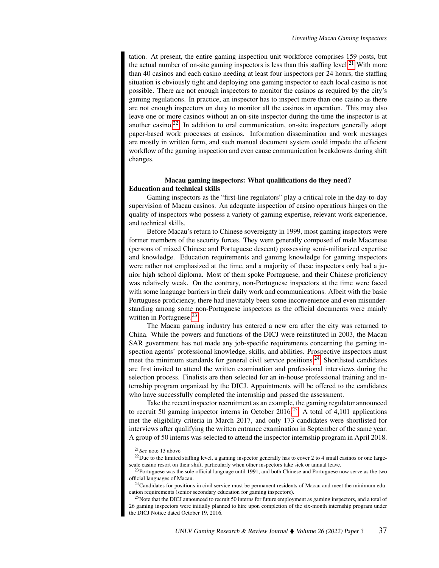tation. At present, the entire gaming inspection unit workforce comprises 159 posts, but the actual number of on-site gaming inspectors is less than this staffing level.<sup>[21](#page-6-0)</sup> With more than 40 casinos and each casino needing at least four inspectors per 24 hours, the staffing situation is obviously tight and deploying one gaming inspector to each local casino is not possible. There are not enough inspectors to monitor the casinos as required by the city's gaming regulations. In practice, an inspector has to inspect more than one casino as there are not enough inspectors on duty to monitor all the casinos in operation. This may also leave one or more casinos without an on-site inspector during the time the inspector is at another casino.<sup>[22](#page-6-1)</sup> In addition to oral communication, on-site inspectors generally adopt paper-based work processes at casinos. Information dissemination and work messages are mostly in written form, and such manual document system could impede the efficient workflow of the gaming inspection and even cause communication breakdowns during shift changes.

# Macau gaming inspectors: What qualifications do they need? Education and technical skills

Gaming inspectors as the "first-line regulators" play a critical role in the day-to-day supervision of Macau casinos. An adequate inspection of casino operations hinges on the quality of inspectors who possess a variety of gaming expertise, relevant work experience, and technical skills.

Before Macau's return to Chinese sovereignty in 1999, most gaming inspectors were former members of the security forces. They were generally composed of male Macanese (persons of mixed Chinese and Portuguese descent) possessing semi-militarized expertise and knowledge. Education requirements and gaming knowledge for gaming inspectors were rather not emphasized at the time, and a majority of these inspectors only had a junior high school diploma. Most of them spoke Portuguese, and their Chinese proficiency was relatively weak. On the contrary, non-Portuguese inspectors at the time were faced with some language barriers in their daily work and communications. Albeit with the basic Portuguese proficiency, there had inevitably been some inconvenience and even misunderstanding among some non-Portuguese inspectors as the official documents were mainly written in Portuguese.<sup>[23](#page-6-2)</sup>

The Macau gaming industry has entered a new era after the city was returned to China. While the powers and functions of the DICJ were reinstituted in 2003, the Macau SAR government has not made any job-specific requirements concerning the gaming inspection agents' professional knowledge, skills, and abilities. Prospective inspectors must meet the minimum standards for general civil service positions.[24](#page-6-3) Shortlisted candidates are first invited to attend the written examination and professional interviews during the selection process. Finalists are then selected for an in-house professional training and internship program organized by the DICJ. Appointments will be offered to the candidates who have successfully completed the internship and passed the assessment.

Take the recent inspector recruitment as an example, the gaming regulator announced to recruit 50 gaming inspector interns in October 2016.<sup>[25](#page-6-4)</sup> A total of 4,101 applications met the eligibility criteria in March 2017, and only 173 candidates were shortlisted for interviews after qualifying the written entrance examination in September of the same year. A group of 50 interns was selected to attend the inspector internship program in April 2018.

<span id="page-6-1"></span><span id="page-6-0"></span><sup>21</sup>*See* note 13 above

<sup>22</sup>Due to the limited staffing level, a gaming inspector generally has to cover 2 to 4 small casinos or one largescale casino resort on their shift, particularly when other inspectors take sick or annual leave.

<span id="page-6-2"></span><sup>&</sup>lt;sup>23</sup>Portuguese was the sole official language until 1991, and both Chinese and Portuguese now serve as the two official languages of Macau.

<span id="page-6-3"></span> $24$ Candidates for positions in civil service must be permanent residents of Macau and meet the minimum education requirements (senior secondary education for gaming inspectors).

<span id="page-6-4"></span><sup>&</sup>lt;sup>25</sup>Note that the DICJ announced to recruit 50 interns for future employment as gaming inspectors, and a total of 26 gaming inspectors were initially planned to hire upon completion of the six-month internship program under the DICJ Notice dated October 19, 2016.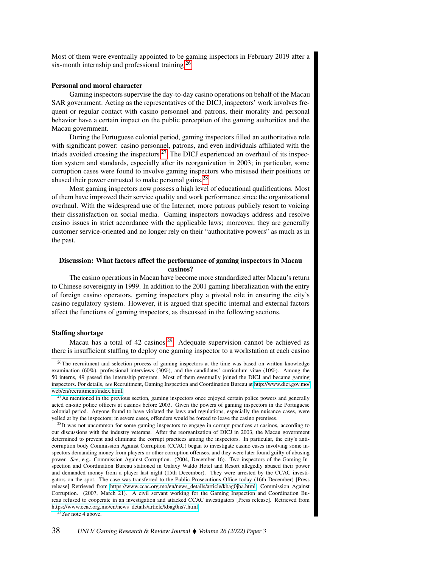Most of them were eventually appointed to be gaming inspectors in February 2019 after a six-month internship and professional training.<sup>[26](#page-7-0)</sup>

# Personal and moral character

Gaming inspectors supervise the day-to-day casino operations on behalf of the Macau SAR government. Acting as the representatives of the DICJ, inspectors' work involves frequent or regular contact with casino personnel and patrons, their morality and personal behavior have a certain impact on the public perception of the gaming authorities and the Macau government.

During the Portuguese colonial period, gaming inspectors filled an authoritative role with significant power: casino personnel, patrons, and even individuals affiliated with the triads avoided crossing the inspectors.<sup>[27](#page-7-1)</sup> The DICJ experienced an overhaul of its inspection system and standards, especially after its reorganization in 2003; in particular, some corruption cases were found to involve gaming inspectors who misused their positions or abused their power entrusted to make personal gains.<sup>[28](#page-7-2)</sup>

Most gaming inspectors now possess a high level of educational qualifications. Most of them have improved their service quality and work performance since the organizational overhaul. With the widespread use of the Internet, more patrons publicly resort to voicing their dissatisfaction on social media. Gaming inspectors nowadays address and resolve casino issues in strict accordance with the applicable laws; moreover, they are generally customer service-oriented and no longer rely on their "authoritative powers" as much as in the past.

# Discussion: What factors affect the performance of gaming inspectors in Macau casinos?

The casino operations in Macau have become more standardized after Macau's return to Chinese sovereignty in 1999. In addition to the 2001 gaming liberalization with the entry of foreign casino operators, gaming inspectors play a pivotal role in ensuring the city's casino regulatory system. However, it is argued that specific internal and external factors affect the functions of gaming inspectors, as discussed in the following sections.

#### Staffing shortage

Macau has a total of 42 casinos.[29](#page-7-3) Adequate supervision cannot be achieved as there is insufficient staffing to deploy one gaming inspector to a workstation at each casino

<span id="page-7-3"></span><sup>29</sup>*See* note 4 above.

<span id="page-7-0"></span><sup>&</sup>lt;sup>26</sup>The recruitment and selection process of gaming inspectors at the time was based on written knowledge examination (60%), professional interviews (30%), and the candidates' curriculum vitae (10%). Among the 50 interns, 49 passed the internship program. Most of them eventually joined the DICJ and became gaming inspectors. For details, *see* Recruitment, Gaming Inspection and Coordination Bureau at [http://www.dicj.gov.mo/](http://www.dicj.gov.mo/web/cn/recruitment/index.html) [web/cn/recruitment/index.html.](http://www.dicj.gov.mo/web/cn/recruitment/index.html)

<span id="page-7-1"></span> $^{27}$ As mentioned in the previous section, gaming inspectors once enjoyed certain police powers and generally acted on-site police officers at casinos before 2003. Given the powers of gaming inspectors in the Portuguese colonial period. Anyone found to have violated the laws and regulations, especially the nuisance cases, were yelled at by the inspectors; in severe cases, offenders would be forced to leave the casino premises.

<span id="page-7-2"></span><sup>&</sup>lt;sup>28</sup>It was not uncommon for some gaming inspectors to engage in corrupt practices at casinos, according to our discussions with the industry veterans. After the reorganization of DICJ in 2003, the Macau government determined to prevent and eliminate the corrupt practices among the inspectors. In particular, the city's anticorruption body Commission Against Corruption (CCAC) began to investigate casino cases involving some inspectors demanding money from players or other corruption offenses, and they were later found guilty of abusing power. *See*, e.g., Commission Against Corruption. (2004, December 16). Two inspectors of the Gaming Inspection and Coordination Bureau stationed in Galaxy Waldo Hotel and Resort allegedly abused their power and demanded money from a player last night (15th December). They were arrested by the CCAC investigators on the spot. The case was transferred to the Public Prosecutions Office today (16th December) [Press release] Retrieved from [https://www.ccac.org.mo/en/news\\_details/article/kbag0jba.html;](https://www.ccac.org.mo/en/news_details/article/kbag0jba.html) Commission Against Corruption. (2007, March 21). A civil servant working for the Gaming Inspection and Coordination Bureau refused to cooperate in an investigation and attacked CCAC investigators [Press release]. Retrieved from [https://www.ccac.org.mo/en/news\\_details/article/kbag0ns7.html.](https://www.ccac.org.mo/en/news_details/article/kbag0ns7.html)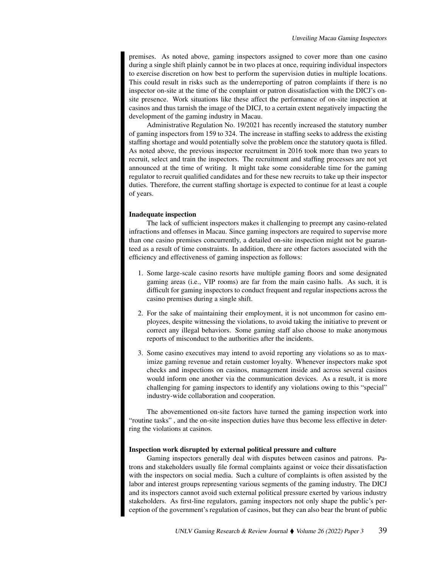premises. As noted above, gaming inspectors assigned to cover more than one casino during a single shift plainly cannot be in two places at once, requiring individual inspectors to exercise discretion on how best to perform the supervision duties in multiple locations. This could result in risks such as the underreporting of patron complaints if there is no inspector on-site at the time of the complaint or patron dissatisfaction with the DICJ's onsite presence. Work situations like these affect the performance of on-site inspection at casinos and thus tarnish the image of the DICJ, to a certain extent negatively impacting the development of the gaming industry in Macau.

Administrative Regulation No. 19/2021 has recently increased the statutory number of gaming inspectors from 159 to 324. The increase in staffing seeks to address the existing staffing shortage and would potentially solve the problem once the statutory quota is filled. As noted above, the previous inspector recruitment in 2016 took more than two years to recruit, select and train the inspectors. The recruitment and staffing processes are not yet announced at the time of writing. It might take some considerable time for the gaming regulator to recruit qualified candidates and for these new recruits to take up their inspector duties. Therefore, the current staffing shortage is expected to continue for at least a couple of years.

### Inadequate inspection

The lack of sufficient inspectors makes it challenging to preempt any casino-related infractions and offenses in Macau. Since gaming inspectors are required to supervise more than one casino premises concurrently, a detailed on-site inspection might not be guaranteed as a result of time constraints. In addition, there are other factors associated with the efficiency and effectiveness of gaming inspection as follows:

- 1. Some large-scale casino resorts have multiple gaming floors and some designated gaming areas (i.e., VIP rooms) are far from the main casino halls. As such, it is difficult for gaming inspectors to conduct frequent and regular inspections across the casino premises during a single shift.
- 2. For the sake of maintaining their employment, it is not uncommon for casino employees, despite witnessing the violations, to avoid taking the initiative to prevent or correct any illegal behaviors. Some gaming staff also choose to make anonymous reports of misconduct to the authorities after the incidents.
- 3. Some casino executives may intend to avoid reporting any violations so as to maximize gaming revenue and retain customer loyalty. Whenever inspectors make spot checks and inspections on casinos, management inside and across several casinos would inform one another via the communication devices. As a result, it is more challenging for gaming inspectors to identify any violations owing to this "special" industry-wide collaboration and cooperation.

The abovementioned on-site factors have turned the gaming inspection work into "routine tasks" , and the on-site inspection duties have thus become less effective in deterring the violations at casinos.

## Inspection work disrupted by external political pressure and culture

Gaming inspectors generally deal with disputes between casinos and patrons. Patrons and stakeholders usually file formal complaints against or voice their dissatisfaction with the inspectors on social media. Such a culture of complaints is often assisted by the labor and interest groups representing various segments of the gaming industry. The DICJ and its inspectors cannot avoid such external political pressure exerted by various industry stakeholders. As first-line regulators, gaming inspectors not only shape the public's perception of the government's regulation of casinos, but they can also bear the brunt of public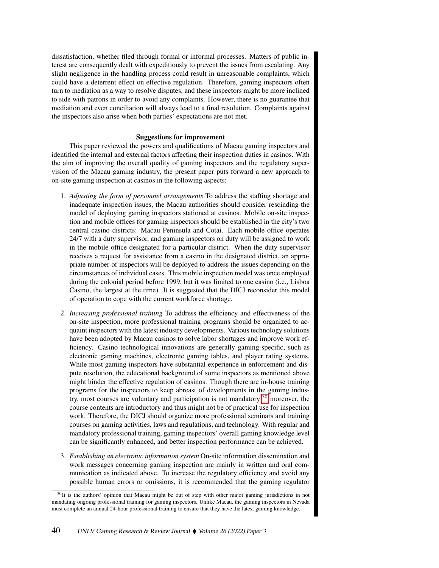dissatisfaction, whether filed through formal or informal processes. Matters of public interest are consequently dealt with expeditiously to prevent the issues from escalating. Any slight negligence in the handling process could result in unreasonable complaints, which could have a deterrent effect on effective regulation. Therefore, gaming inspectors often turn to mediation as a way to resolve disputes, and these inspectors might be more inclined to side with patrons in order to avoid any complaints. However, there is no guarantee that mediation and even conciliation will always lead to a final resolution. Complaints against the inspectors also arise when both parties' expectations are not met.

## Suggestions for improvement

This paper reviewed the powers and qualifications of Macau gaming inspectors and identified the internal and external factors affecting their inspection duties in casinos. With the aim of improving the overall quality of gaming inspectors and the regulatory supervision of the Macau gaming industry, the present paper puts forward a new approach to on-site gaming inspection at casinos in the following aspects:

- 1. *Adjusting the form of personnel arrangements* To address the staffing shortage and inadequate inspection issues, the Macau authorities should consider rescinding the model of deploying gaming inspectors stationed at casinos. Mobile on-site inspection and mobile offices for gaming inspectors should be established in the city's two central casino districts: Macau Peninsula and Cotai. Each mobile office operates 24/7 with a duty supervisor, and gaming inspectors on duty will be assigned to work in the mobile office designated for a particular district. When the duty supervisor receives a request for assistance from a casino in the designated district, an appropriate number of inspectors will be deployed to address the issues depending on the circumstances of individual cases. This mobile inspection model was once employed during the colonial period before 1999, but it was limited to one casino (i.e., Lisboa Casino, the largest at the time). It is suggested that the DICJ reconsider this model of operation to cope with the current workforce shortage.
- 2. *Increasing professional training* To address the efficiency and effectiveness of the on-site inspection, more professional training programs should be organized to acquaint inspectors with the latest industry developments. Various technology solutions have been adopted by Macau casinos to solve labor shortages and improve work efficiency. Casino technological innovations are generally gaming-specific, such as electronic gaming machines, electronic gaming tables, and player rating systems. While most gaming inspectors have substantial experience in enforcement and dispute resolution, the educational background of some inspectors as mentioned above might hinder the effective regulation of casinos. Though there are in-house training programs for the inspectors to keep abreast of developments in the gaming industry, most courses are voluntary and participation is not mandatory; $30$  moreover, the course contents are introductory and thus might not be of practical use for inspection work. Therefore, the DICJ should organize more professional seminars and training courses on gaming activities, laws and regulations, and technology. With regular and mandatory professional training, gaming inspectors' overall gaming knowledge level can be significantly enhanced, and better inspection performance can be achieved.
- 3. *Establishing an electronic information system* On-site information dissemination and work messages concerning gaming inspection are mainly in written and oral communication as indicated above. To increase the regulatory efficiency and avoid any possible human errors or omissions, it is recommended that the gaming regulator

<span id="page-9-0"></span><sup>&</sup>lt;sup>30</sup>It is the authors' opinion that Macau might be out of step with other major gaming jurisdictions in not mandating ongoing professional training for gaming inspectors. Unlike Macau, the gaming inspectors in Nevada must complete an annual 24-hour professional training to ensure that they have the latest gaming knowledge.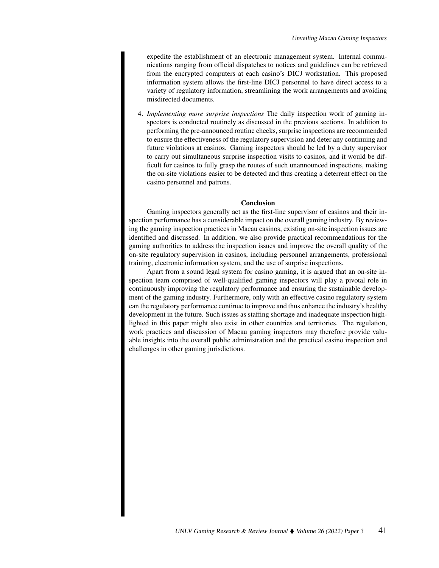expedite the establishment of an electronic management system. Internal communications ranging from official dispatches to notices and guidelines can be retrieved from the encrypted computers at each casino's DICJ workstation. This proposed information system allows the first-line DICJ personnel to have direct access to a variety of regulatory information, streamlining the work arrangements and avoiding misdirected documents.

4. *Implementing more surprise inspections* The daily inspection work of gaming inspectors is conducted routinely as discussed in the previous sections. In addition to performing the pre-announced routine checks, surprise inspections are recommended to ensure the effectiveness of the regulatory supervision and deter any continuing and future violations at casinos. Gaming inspectors should be led by a duty supervisor to carry out simultaneous surprise inspection visits to casinos, and it would be difficult for casinos to fully grasp the routes of such unannounced inspections, making the on-site violations easier to be detected and thus creating a deterrent effect on the casino personnel and patrons.

# Conclusion

Gaming inspectors generally act as the first-line supervisor of casinos and their inspection performance has a considerable impact on the overall gaming industry. By reviewing the gaming inspection practices in Macau casinos, existing on-site inspection issues are identified and discussed. In addition, we also provide practical recommendations for the gaming authorities to address the inspection issues and improve the overall quality of the on-site regulatory supervision in casinos, including personnel arrangements, professional training, electronic information system, and the use of surprise inspections.

Apart from a sound legal system for casino gaming, it is argued that an on-site inspection team comprised of well-qualified gaming inspectors will play a pivotal role in continuously improving the regulatory performance and ensuring the sustainable development of the gaming industry. Furthermore, only with an effective casino regulatory system can the regulatory performance continue to improve and thus enhance the industry's healthy development in the future. Such issues as staffing shortage and inadequate inspection highlighted in this paper might also exist in other countries and territories. The regulation, work practices and discussion of Macau gaming inspectors may therefore provide valuable insights into the overall public administration and the practical casino inspection and challenges in other gaming jurisdictions.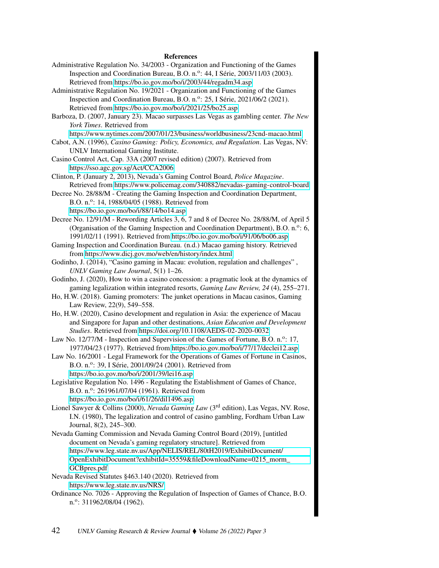#### References

- Administrative Regulation No. 34/2003 Organization and Functioning of the Games Inspection and Coordination Bureau, B.O. n.º: 44, I Série, 2003/11/03 (2003). Retrieved from<https://bo.io.gov.mo/bo/i/2003/44/regadm34.asp>
- Administrative Regulation No. 19/2021 Organization and Functioning of the Games Inspection and Coordination Bureau, B.O. n.º: 25, I Série, 2021/06/2 (2021). Retrieved from<https://bo.io.gov.mo/bo/i/2021/25/bo25.asp>
- Barboza, D. (2007, January 23). Macao surpasses Las Vegas as gambling center. *The New York Times*. Retrieved from

<https://www.nytimes.com/2007/01/23/business/worldbusiness/23cnd-macao.html>

- Cabot, A.N. (1996), *Casino Gaming: Policy, Economics, and Regulation*. Las Vegas, NV: UNLV International Gaming Institute.
- Casino Control Act, Cap. 33A (2007 revised edition) (2007). Retrieved from <https://sso.agc.gov.sg/Act/CCA2006>
- Clinton, P. (January 2, 2013), Nevada's Gaming Control Board, *Police Magazine*. Retrieved from<https://www.policemag.com/340882/nevadas-gaming-control-board>
- Decree No. 28/88/M Creating the Gaming Inspection and Coordination Department, B.O. n.<sup>o</sup>: 14, 1988/04/05 (1988). Retrieved from <https://bo.io.gov.mo/bo/i/88/14/bo14.asp>
- Decree No. 12/91/M Rewording Articles 3, 6, 7 and 8 of Decree No. 28/88/M, of April 5 (Organisation of the Gaming Inspection and Coordination Department), B.O. n.<sup>o</sup>: 6, 1991/02/11 (1991). Retrieved from<https://bo.io.gov.mo/bo/i/91/06/bo06.asp>
- Gaming Inspection and Coordination Bureau. (n.d.) Macao gaming history. Retrieved from<https://www.dicj.gov.mo/web/en/history/index.html>
- Godinho, J. (2014), "Casino gaming in Macau: evolution, regulation and challenges", *UNLV Gaming Law Journal*, 5(1) 1–26.
- Godinho, J. (2020), How to win a casino concession: a pragmatic look at the dynamics of gaming legalization within integrated resorts, *Gaming Law Review, 24* (4), 255–271.
- Ho, H.W. (2018). Gaming promoters: The junket operations in Macau casinos, Gaming Law Review, 22(9), 549–558.
- Ho, H.W. (2020), Casino development and regulation in Asia: the experience of Macau and Singapore for Japan and other destinations, *Asian Education and Development Studies*. Retrieved from<https://doi.org/10.1108/AEDS-02-2020-0032>
- Law No. 12/77/M Inspection and Supervision of the Games of Fortune, B.O. n.<sup>o</sup>: 17, 1977/04/23 (1977). Retrieved from<https://bo.io.gov.mo/bo/i/77/17/declei12.asp>
- Law No. 16/2001 Legal Framework for the Operations of Games of Fortune in Casinos, B.O. n.º: 39, I Série, 2001/09/24 (2001). Retrieved from <https://bo.io.gov.mo/bo/i/2001/39/lei16.asp>
- Legislative Regulation No. 1496 Regulating the Establishment of Games of Chance, B.O. n.º: 261961/07/04 (1961). Retrieved from <https://bo.io.gov.mo/bo/i/61/26/dil1496.asp>
- Lionel Sawyer & Collins (2000), *Nevada Gaming Law* (3rd edition), Las Vegas, NV. Rose, I.N. (1980), The legalization and control of casino gambling, Fordham Urban Law Journal, 8(2), 245–300.
- Nevada Gaming Commission and Nevada Gaming Control Board (2019), [untitled document on Nevada's gaming regulatory structure]. Retrieved from [https://www.leg.state.nv.us/App/NELIS/REL/80tH2019/ExhibitDocument/](https://www.leg.state.nv.us/App/NELIS/REL/80tH2019/ExhibitDocument/OpenExhibitDocument?exhibitId=35559&fileDownloadName=0215_morm_GCBpres.pdf) [OpenExhibitDocument?exhibitId=35559&fileDownloadName=0215\\_morm\\_](https://www.leg.state.nv.us/App/NELIS/REL/80tH2019/ExhibitDocument/OpenExhibitDocument?exhibitId=35559&fileDownloadName=0215_morm_GCBpres.pdf) [GCBpres.pdf](https://www.leg.state.nv.us/App/NELIS/REL/80tH2019/ExhibitDocument/OpenExhibitDocument?exhibitId=35559&fileDownloadName=0215_morm_GCBpres.pdf)

Nevada Revised Statutes §463.140 (2020). Retrieved from <https://www.leg.state.nv.us/NRS/>

Ordinance No. 7026 - Approving the Regulation of Inspection of Games of Chance, B.O. n.<sup>o</sup>: 311962/08/04 (1962).